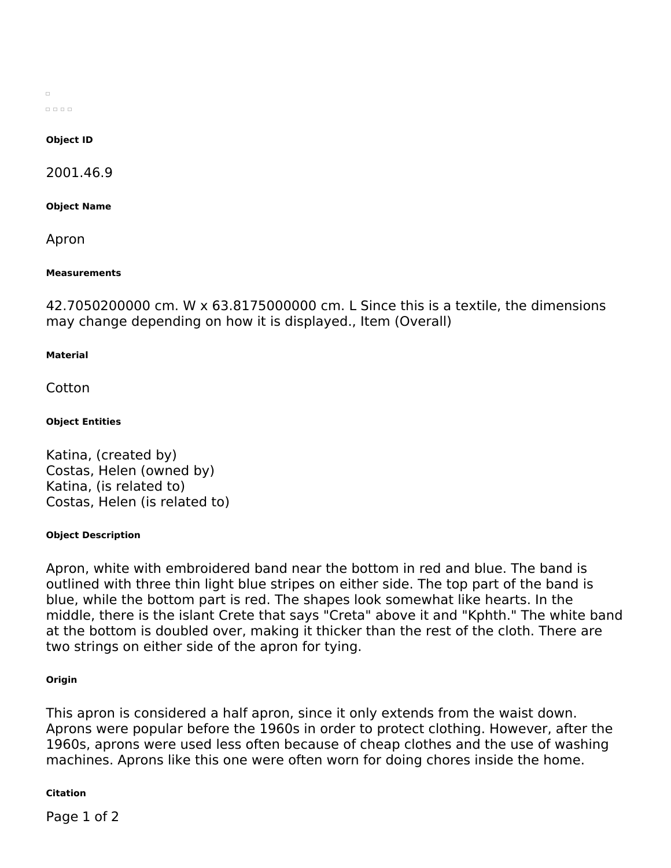$\Box$  $00000$ 

## **Object ID**

2001.46.9

**Object Name**

Apron

## **Measurements**

42.7050200000 cm. W x 63.8175000000 cm. L Since this is a textile, the dimensions may change depending on how it is displayed., Item (Overall)

## **Material**

Cotton

# **Object Entities**

Katina, (created by) Costas, Helen (owned by) Katina, (is related to) Costas, Helen (is related to)

# **Object Description**

Apron, white with embroidered band near the bottom in red and blue. The band is outlined with three thin light blue stripes on either side. The top part of the band is blue, while the bottom part is red. The shapes look somewhat like hearts. In the middle, there is the islant Crete that says "Creta" above it and "Kphth." The white band at the bottom is doubled over, making it thicker than the rest of the cloth. There are two strings on either side of the apron for tying.

# **Origin**

This apron is considered a half apron, since it only extends from the waist down. Aprons were popular before the 1960s in order to protect clothing. However, after the 1960s, aprons were used less often because of cheap clothes and the use of washing machines. Aprons like this one were often worn for doing chores inside the home.

# **Citation**

Page 1 of 2